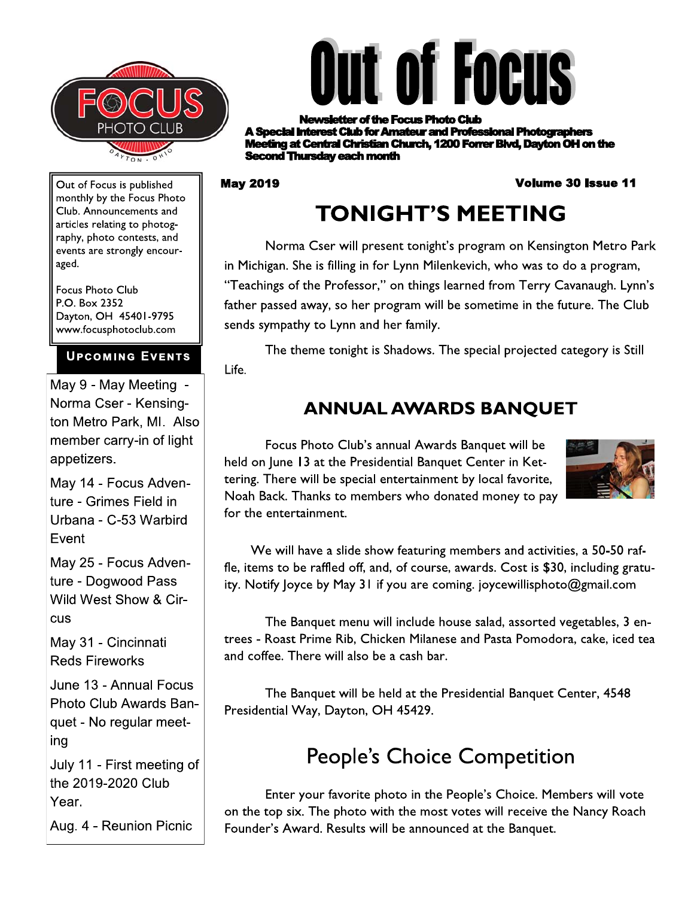



r of the Focus Photo Club st Club for Amateur and Professional Photographers ng at Central Christian Church, 1200 Forrer Blvd, Davton OH on the **cond Thursday each month** 

#### **May 2019**

#### **Volume 30 Issue 11**

Out of Focus is published monthly by the Focus Photo Club. Announcements and articles relating to photography, photo contests, and events are strongly encouraged.

**Focus Photo Club** P.O. Box 2352 Dayton, OH 45401-9795 www.focusphotoclub.com

#### **UPCOMING EVENTS**

May 9 - May Meeting -Norma Cser - Kensington Metro Park, MI. Also member carry-in of light appetizers.

May 14 - Focus Adventure - Grimes Field in Urbana - C-53 Warbird Event

May 25 - Focus Adventure - Dogwood Pass Wild West Show & Circus

May 31 - Cincinnati **Reds Fireworks** 

June 13 - Annual Focus Photo Club Awards Banquet - No regular meeting

July 11 - First meeting of the 2019-2020 Club Year.

Aug. 4 - Reunion Picnic

# **TONIGHT'S MEETING**

Norma Cser will present tonight's program on Kensington Metro Park in Michigan. She is filling in for Lynn Milenkevich, who was to do a program, "Teachings of the Professor," on things learned from Terry Cavanaugh. Lynn's father passed away, so her program will be sometime in the future. The Club sends sympathy to Lynn and her family.

The theme tonight is Shadows. The special projected category is Still Life.

## **ANNUAL AWARDS BANQUET**

Focus Photo Club's annual Awards Banquet will be held on June 13 at the Presidential Banquet Center in Kettering. There will be special entertainment by local favorite, Noah Back. Thanks to members who donated money to pay for the entertainment.



We will have a slide show featuring members and activities, a 50-50 raffle, items to be raffled off, and, of course, awards. Cost is \$30, including gratuity. Notify loyce by May 31 if you are coming. joycewillisphoto@gmail.com

The Banquet menu will include house salad, assorted vegetables, 3 entrees - Roast Prime Rib, Chicken Milanese and Pasta Pomodora, cake, iced tea and coffee. There will also be a cash bar.

The Banquet will be held at the Presidential Banquet Center, 4548 Presidential Way, Dayton, OH 45429.

## **People's Choice Competition**

Enter your favorite photo in the People's Choice. Members will vote on the top six. The photo with the most votes will receive the Nancy Roach Founder's Award. Results will be announced at the Banquet.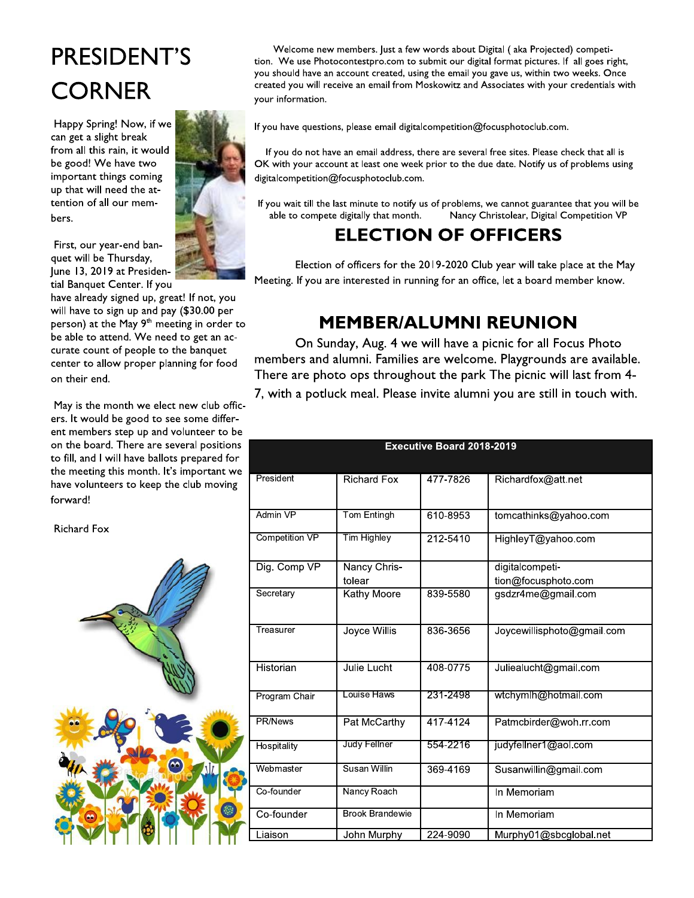# PRESIDENT'S **CORNER**

Happy Spring! Now, if we can get a slight break from all this rain, it would be good! We have two important things coming up that will need the attention of all our members.

First, our year-end banquet will be Thursday, June 13, 2019 at Presidential Banquet Center. If you

have already signed up, great! If not, you will have to sign up and pay (\$30.00 per person) at the May 9<sup>th</sup> meeting in order to be able to attend. We need to get an accurate count of people to the banquet center to allow proper planning for food on their end.

May is the month we elect new club officers. It would be good to see some different members step up and volunteer to be on the board. There are several positions to fill, and I will have ballots prepared for the meeting this month. It's important we have volunteers to keep the club moving forward!

**Richard Fox** 



Welcome new members. Just a few words about Digital (aka Projected) competition. We use Photocontestpro.com to submit our digital format pictures. If all goes right, you should have an account created, using the email you gave us, within two weeks. Once created you will receive an email from Moskowitz and Associates with your credentials with your information.

If you have questions, please email digitalcompetition@focusphotoclub.com.

If you do not have an email address, there are several free sites. Please check that all is OK with your account at least one week prior to the due date. Notify us of problems using digitalcompetition@focusphotoclub.com.

If you wait till the last minute to notify us of problems, we cannot guarantee that you will be able to compete digitally that month. Nancy Christolear, Digital Competition VP

## **ELECTION OF OFFICERS**

Election of officers for the 2019-2020 Club year will take place at the May Meeting. If you are interested in running for an office, let a board member know.

## **MEMBER/ALUMNI REUNION**

On Sunday, Aug. 4 we will have a picnic for all Focus Photo members and alumni. Families are welcome. Playgrounds are available. There are photo ops throughout the park The picnic will last from 4-7, with a potluck meal. Please invite alumni you are still in touch with.

| <b>Executive Board 2018-2019</b> |                        |          |                            |  |
|----------------------------------|------------------------|----------|----------------------------|--|
|                                  |                        |          |                            |  |
| President                        | <b>Richard Fox</b>     | 477-7826 | Richardfox@att.net         |  |
|                                  |                        |          |                            |  |
| Admin VP                         | Tom Entingh            | 610-8953 | tomcathinks@yahoo.com      |  |
| <b>Competition VP</b>            | <b>Tim Highley</b>     | 212-5410 | HighleyT@yahoo.com         |  |
| Dig. Comp VP                     | Nancy Chris-           |          | digitalcompeti-            |  |
|                                  | tolear                 |          | tion@focusphoto.com        |  |
| Secretary                        | Kathy Moore            | 839-5580 | gsdzr4me@gmail.com         |  |
| Treasurer                        | <b>Joyce Willis</b>    | 836-3656 | Joycewillisphoto@gmail.com |  |
| Historian                        | Julie Lucht            | 408-0775 | Juliealucht@gmail.com      |  |
| Program Chair                    | Louise Haws            | 231-2498 | wtchymlh@hotmail.com       |  |
| <b>PR/News</b>                   | Pat McCarthy           | 417-4124 | Patmcbirder@woh.rr.com     |  |
| Hospitality                      | Judy Fellner           | 554-2216 | judyfellner1@aol.com       |  |
| Webmaster                        | Susan Willin           | 369-4169 | Susanwillin@gmail.com      |  |
| Co-founder                       | Nancy Roach            |          | In Memoriam                |  |
| Co-founder                       | <b>Brook Brandewie</b> |          | In Memoriam                |  |
| Liaison                          | John Murphy            | 224-9090 | Murphy01@sbcglobal.net     |  |

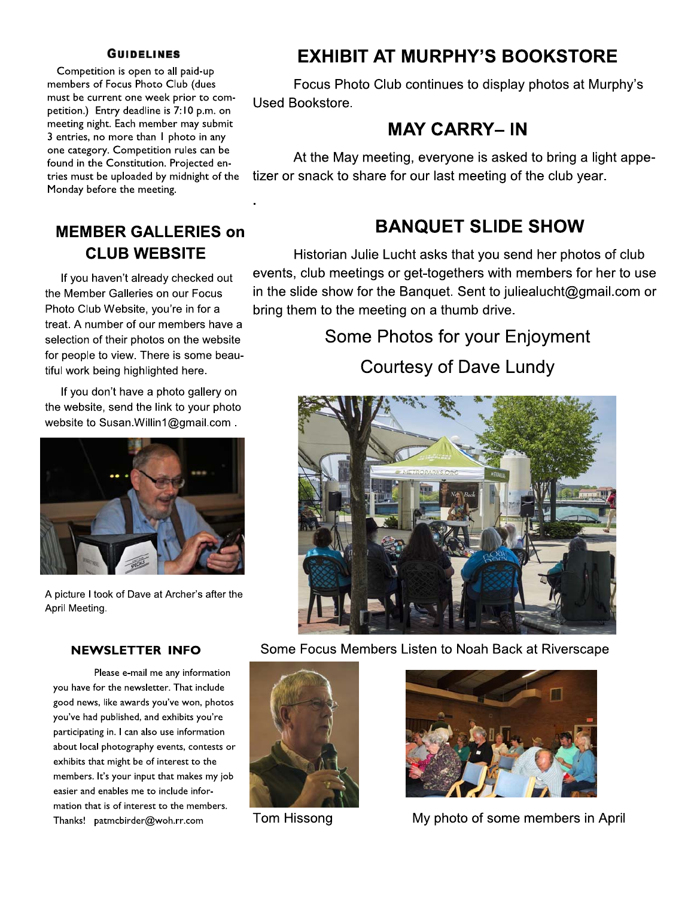#### **GUIDELINES**

Competition is open to all paid-up members of Focus Photo Club (dues must be current one week prior to competition.) Entry deadline is 1:10 p.m. on meeting night. Each member may submit  $\beta$  entries, no more than 1 photo in any one category. Competition rules can be found in the Constitution. Projected entries must be uploaded by midnight of the  $\overline{\phantom{a}}$ Monday before the meeting.

### **MEMBER GALLERIES on** CLUB WEBSITE

 $\mathcal{L}_{\text{max}}$ 

If you haven't already checked out the Member Galleries on our Focus Photo Club Website, you're in for a treat. A number of our members have a selection of their photos on the website for people to view. There is some beautiful work being highlighted here.

If you don't have a photo gallery on the website, send the link to your photo website to Susan. Willin 1@gmail.com.



A picture I took of Dave at Archer's after the April Meeting.

A picture I took of Dave at Archer's after the<br>
April Meeting.<br>
NEWSLETTER INFO Some<br>
Please e-mail me any information<br>
you have for the newsletter. That include<br>
good news, like awards you've won, photos<br>
you've had publi Please e-mail me any information you have for the newsletter. That include good news, like awards you've won, photos you've had published, and exhibits you're participating in. I can also use information about local photography events, contests or exhibits that might be of interest to the members. It's your input that makes my job easier and enables me to include information that is of interest to the members. Thanks! patmcbirder@woh.rr.com

## EXHIBIT AT MURPHY'S BOOKSTORE

Focus Photo Club continues to display photos at Murphy's Used Bookstore.

## **MAY CARRY-IN**

At the May meeting, everyone is asked to bring a light appetizer or snack to share for our last meeting of the club year.

## **BANQUET SLIDE SHOW**

Historian Julie Lucht asks that you send her photos of club events, club meetings or get-togethers with members for her to use in the slide show for the Banquet. Sent to julieal ucht  $@g$  mail.com or bring them to the meeting on a thumb drive.

# Some Photos for your Enjoyment

Courtesy of Dave Lundy



Some Focus Members Listen to Noah Back at Riverscape





Tom Hissong **cruvice in My photo of some members in April**